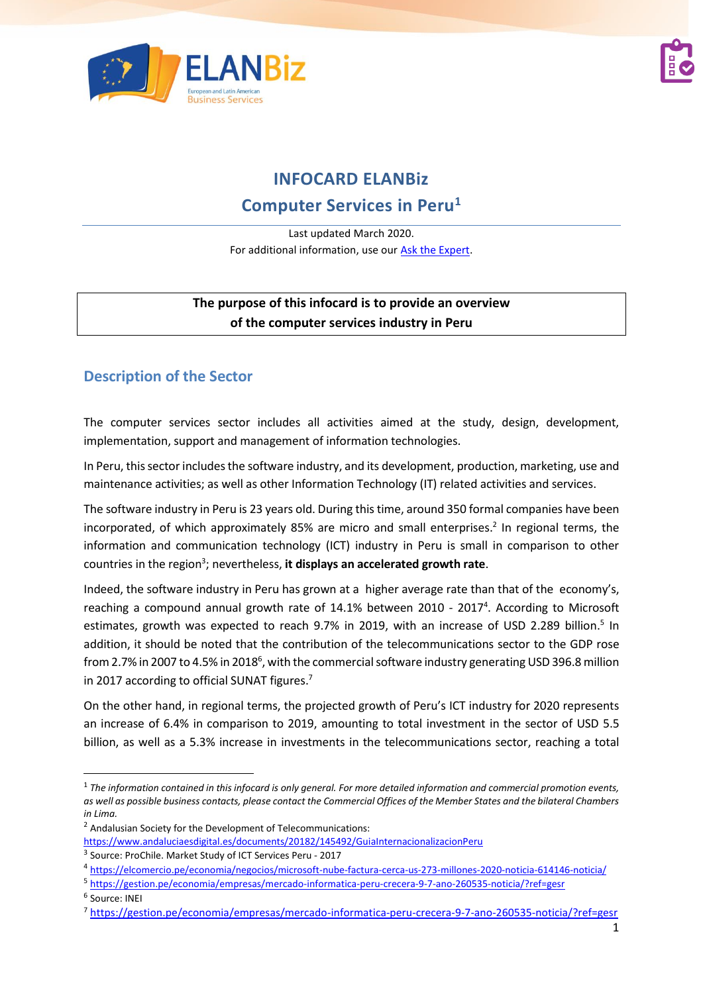



# **INFOCARD ELANBiz**

## **Computer Services in Peru<sup>1</sup>**

Last updated March 2020. For additional information, use our [Ask the Expert.](http://bit.ly/2fQNCnJ)

#### **The purpose of this infocard is to provide an overview of the computer services industry in Peru**

## **Description of the Sector**

The computer services sector includes all activities aimed at the study, design, development, implementation, support and management of information technologies.

In Peru, this sector includes the software industry, and its development, production, marketing, use and maintenance activities; as well as other Information Technology (IT) related activities and services.

The software industry in Peru is 23 years old. During this time, around 350 formal companies have been incorporated, of which approximately 85% are micro and small enterprises. 2 In regional terms, the information and communication technology (ICT) industry in Peru is small in comparison to other countries in the region<sup>3</sup> ; nevertheless, **it displays an accelerated growth rate**.

Indeed, the software industry in Peru has grown at a higher average rate than that of the economy's, reaching a compound annual growth rate of 14.1% between 2010 - 2017<sup>4</sup>. According to Microsoft estimates, growth was expected to reach 9.7% in 2019, with an increase of USD 2.289 billion.<sup>5</sup> In addition, it should be noted that the contribution of the telecommunications sector to the GDP rose from 2.7% in 2007 to 4.5% in 2018<sup>6</sup>, with the commercial software industry generating USD 396.8 million in 2017 according to official SUNAT figures.<sup>7</sup>

On the other hand, in regional terms, the projected growth of Peru's ICT industry for 2020 represents an increase of 6.4% in comparison to 2019, amounting to total investment in the sector of USD 5.5 billion, as well as a 5.3% increase in investments in the telecommunications sector, reaching a total

<sup>1</sup> *The information contained in this infocard is only general. For more detailed information and commercial promotion events, as well as possible business contacts, please contact the Commercial Offices of the Member States and the bilateral Chambers in Lima.*

 $2$  Andalusian Society for the Development of Telecommunications:

<https://www.andaluciaesdigital.es/documents/20182/145492/GuiaInternacionalizacionPeru>

<sup>3</sup> Source: ProChile. Market Study of ICT Services Peru - 2017

<sup>4</sup> <https://elcomercio.pe/economia/negocios/microsoft-nube-factura-cerca-us-273-millones-2020-noticia-614146-noticia/>

<sup>5</sup> <https://gestion.pe/economia/empresas/mercado-informatica-peru-crecera-9-7-ano-260535-noticia/?ref=gesr>

<sup>6</sup> Source: INEI

<sup>7</sup> <https://gestion.pe/economia/empresas/mercado-informatica-peru-crecera-9-7-ano-260535-noticia/?ref=gesr>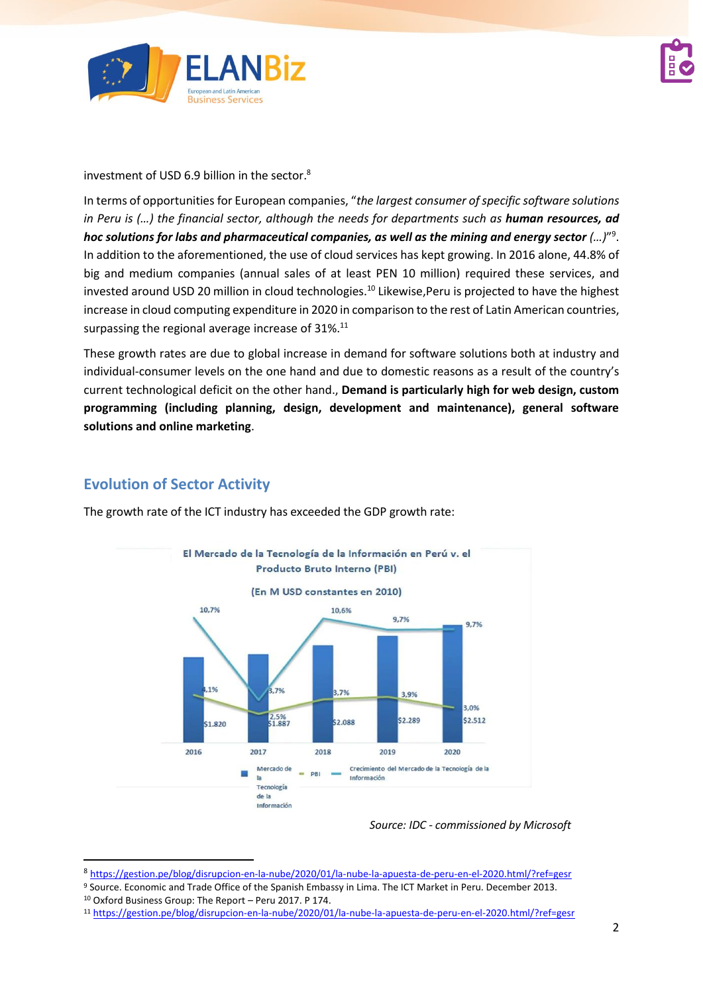



investment of USD 6.9 billion in the sector. $^8$ 

In terms of opportunities for European companies, "*the largest consumer of specific software solutions in Peru is (...) the financial sector, although the needs for departments such as human resources, ad hoc solutions for labs and pharmaceutical companies, as well as the mining and energy sector (…)*" 9 . In addition to the aforementioned, the use of cloud services has kept growing. In 2016 alone, 44.8% of big and medium companies (annual sales of at least PEN 10 million) required these services, and invested around USD 20 million in cloud technologies. <sup>10</sup> Likewise,Peru is projected to have the highest increase in cloud computing expenditure in 2020 in comparison to the rest of Latin American countries, surpassing the regional average increase of 31%. $^{11}$ 

These growth rates are due to global increase in demand for software solutions both at industry and individual-consumer levels on the one hand and due to domestic reasons as a result of the country's current technological deficit on the other hand., **Demand is particularly high for web design, custom programming (including planning, design, development and maintenance), general software solutions and online marketing**.

## **Evolution of Sector Activity**



The growth rate of the ICT industry has exceeded the GDP growth rate:

*Source: IDC - commissioned by Microsoft*

<sup>8</sup> <https://gestion.pe/blog/disrupcion-en-la-nube/2020/01/la-nube-la-apuesta-de-peru-en-el-2020.html/?ref=gesr>

<sup>9</sup> Source. Economic and Trade Office of the Spanish Embassy in Lima. The ICT Market in Peru. December 2013. <sup>10</sup> Oxford Business Group: The Report – Peru 2017. P 174.

<sup>11</sup> <https://gestion.pe/blog/disrupcion-en-la-nube/2020/01/la-nube-la-apuesta-de-peru-en-el-2020.html/?ref=gesr>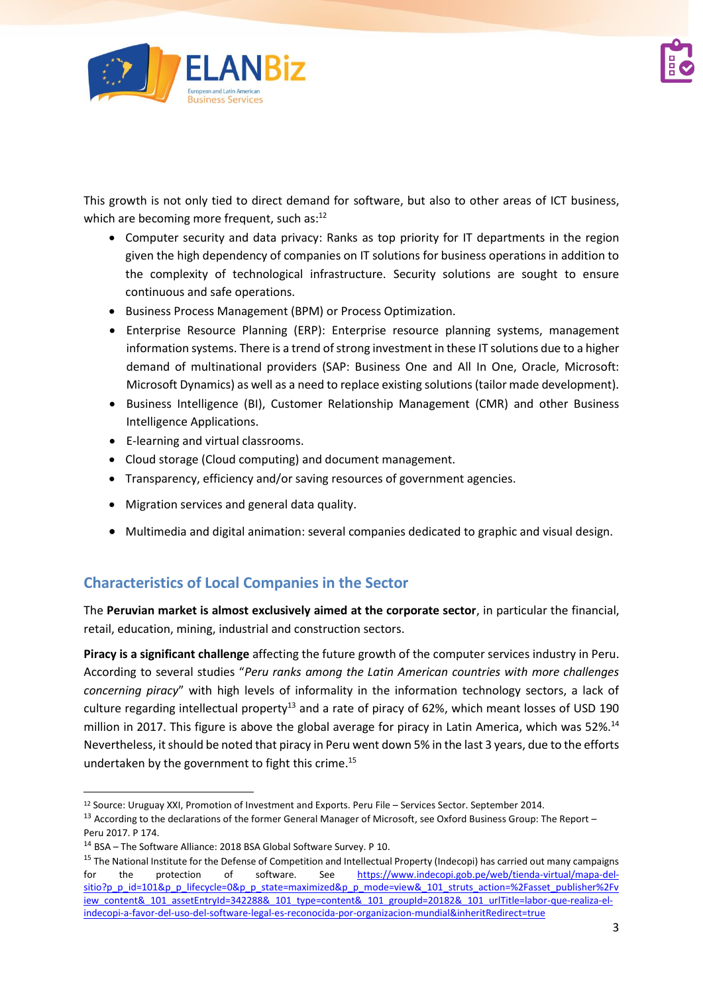

This growth is not only tied to direct demand for software, but also to other areas of ICT business, which are becoming more frequent, such as:<sup>12</sup>

- Computer security and data privacy: Ranks as top priority for IT departments in the region given the high dependency of companies on IT solutions for business operations in addition to the complexity of technological infrastructure. Security solutions are sought to ensure continuous and safe operations.
- Business Process Management (BPM) or Process Optimization.
- Enterprise Resource Planning (ERP): Enterprise resource planning systems, management information systems. There is a trend of strong investment in these IT solutions due to a higher demand of multinational providers (SAP: Business One and All In One, Oracle, Microsoft: Microsoft Dynamics) as well as a need to replace existing solutions (tailor made development).
- Business Intelligence (BI), Customer Relationship Management (CMR) and other Business Intelligence Applications.
- E-learning and virtual classrooms.
- Cloud storage (Cloud computing) and document management.
- Transparency, efficiency and/or saving resources of government agencies.
- Migration services and general data quality.
- Multimedia and digital animation: several companies dedicated to graphic and visual design.

## **Characteristics of Local Companies in the Sector**

The **Peruvian market is almost exclusively aimed at the corporate sector**, in particular the financial, retail, education, mining, industrial and construction sectors.

**Piracy is a significant challenge** affecting the future growth of the computer services industry in Peru. According to several studies "*Peru ranks among the Latin American countries with more challenges concerning piracy*" with high levels of informality in the information technology sectors, a lack of culture regarding intellectual property<sup>13</sup> and a rate of piracy of 62%, which meant losses of USD 190 million in 2017. This figure is above the global average for piracy in Latin America, which was 52%.<sup>14</sup> Nevertheless, it should be noted that piracy in Peru went down 5% in the last 3 years, due to the efforts undertaken by the government to fight this crime. 15

<sup>12</sup> Source: Uruguay XXI, Promotion of Investment and Exports. Peru File – Services Sector. September 2014.

<sup>&</sup>lt;sup>13</sup> According to the declarations of the former General Manager of Microsoft, see Oxford Business Group: The Report – Peru 2017. P 174.

<sup>14</sup> BSA – The Software Alliance: 2018 BSA Global Software Survey. P 10.

<sup>&</sup>lt;sup>15</sup> The National Institute for the Defense of Competition and Intellectual Property (Indecopi) has carried out many campaigns for the protection of software. See [https://www.indecopi.gob.pe/web/tienda-virtual/mapa-del](https://www.indecopi.gob.pe/web/tienda-virtual/mapa-del-sitio?p_p_id=101&p_p_lifecycle=0&p_p_state=maximized&p_p_mode=view&_101_struts_action=%2Fasset_publisher%2Fview_content&_101_assetEntryId=342288&_101_type=content&_101_groupId=20182&_101_urlTitle=labor-que-realiza-el-indecopi-a-favor-del-uso-del-software-legal-es-reconocida-por-organizacion-mundial&inheritRedirect=true)[sitio?p\\_p\\_id=101&p\\_p\\_lifecycle=0&p\\_p\\_state=maximized&p\\_p\\_mode=view&\\_101\\_struts\\_action=%2Fasset\\_publisher%2Fv](https://www.indecopi.gob.pe/web/tienda-virtual/mapa-del-sitio?p_p_id=101&p_p_lifecycle=0&p_p_state=maximized&p_p_mode=view&_101_struts_action=%2Fasset_publisher%2Fview_content&_101_assetEntryId=342288&_101_type=content&_101_groupId=20182&_101_urlTitle=labor-que-realiza-el-indecopi-a-favor-del-uso-del-software-legal-es-reconocida-por-organizacion-mundial&inheritRedirect=true) [iew\\_content&\\_101\\_assetEntryId=342288&\\_101\\_type=content&\\_101\\_groupId=20182&\\_101\\_urlTitle=labor-que-realiza-el](https://www.indecopi.gob.pe/web/tienda-virtual/mapa-del-sitio?p_p_id=101&p_p_lifecycle=0&p_p_state=maximized&p_p_mode=view&_101_struts_action=%2Fasset_publisher%2Fview_content&_101_assetEntryId=342288&_101_type=content&_101_groupId=20182&_101_urlTitle=labor-que-realiza-el-indecopi-a-favor-del-uso-del-software-legal-es-reconocida-por-organizacion-mundial&inheritRedirect=true)[indecopi-a-favor-del-uso-del-software-legal-es-reconocida-por-organizacion-mundial&inheritRedirect=true](https://www.indecopi.gob.pe/web/tienda-virtual/mapa-del-sitio?p_p_id=101&p_p_lifecycle=0&p_p_state=maximized&p_p_mode=view&_101_struts_action=%2Fasset_publisher%2Fview_content&_101_assetEntryId=342288&_101_type=content&_101_groupId=20182&_101_urlTitle=labor-que-realiza-el-indecopi-a-favor-del-uso-del-software-legal-es-reconocida-por-organizacion-mundial&inheritRedirect=true)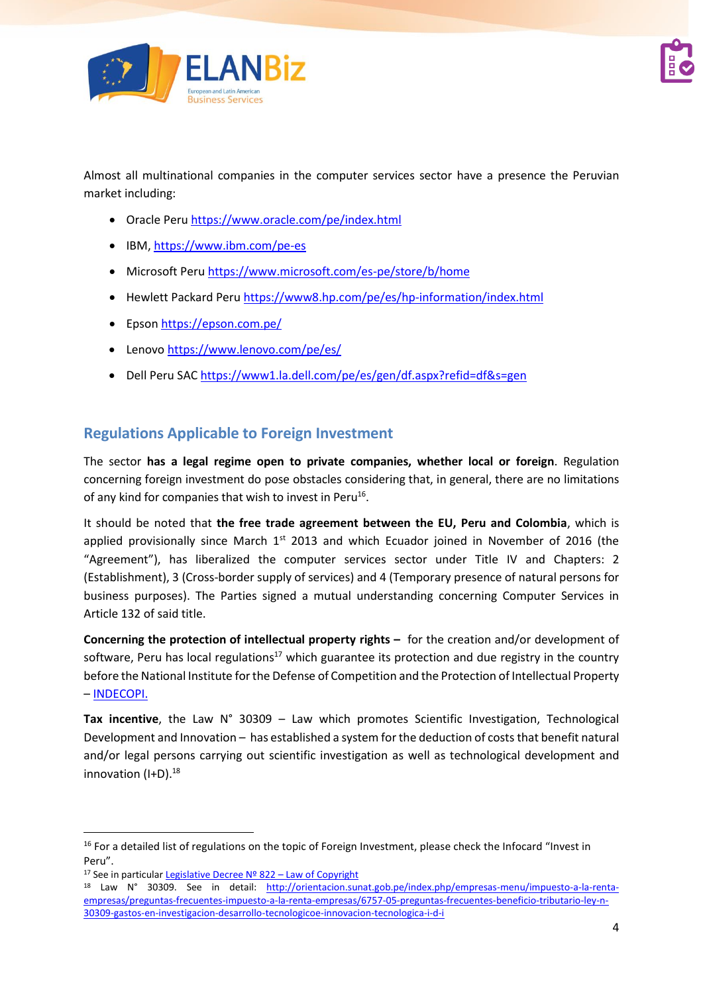

Almost all multinational companies in the computer services sector have a presence the Peruvian market including:

- Oracle Peru <https://www.oracle.com/pe/index.html>
- IBM,<https://www.ibm.com/pe-es>
- Microsoft Peru <https://www.microsoft.com/es-pe/store/b/home>
- Hewlett Packard Peru <https://www8.hp.com/pe/es/hp-information/index.html>
- Epso[n https://epson.com.pe/](https://epson.com.pe/)
- Lenovo<https://www.lenovo.com/pe/es/>
- Dell Peru SA[C https://www1.la.dell.com/pe/es/gen/df.aspx?refid=df&s=gen](https://www1.la.dell.com/pe/es/gen/df.aspx?refid=df&s=gen)

## **Regulations Applicable to Foreign Investment**

The sector **has a legal regime open to private companies, whether local or foreign**. Regulation concerning foreign investment do pose obstacles considering that, in general, there are no limitations of any kind for companies that wish to invest in Peru<sup>16</sup>.

It should be noted that **the free trade agreement between the EU, Peru and Colombia**, which is applied provisionally since March 1<sup>st</sup> 2013 and which Ecuador joined in November of 2016 (the "Agreement"), has liberalized the computer services sector under Title IV and Chapters: 2 (Establishment), 3 (Cross-border supply of services) and 4 (Temporary presence of natural persons for business purposes). The Parties signed a mutual understanding concerning Computer Services in Article 132 of said title.

**Concerning the protection of intellectual property rights –** for the creation and/or development of software, Peru has local regulations<sup>17</sup> which guarantee its protection and due registry in the country before the National Institute for the Defense of Competition and the Protection of Intellectual Property – [INDECOPI.](https://www.indecopi.gob.pe/indecopi)

**Tax incentive**, the Law N° 30309 – Law which promotes Scientific Investigation, Technological Development and Innovation – has established a system for the deduction of costs that benefit natural and/or legal persons carrying out scientific investigation as well as technological development and innovation (I+D). 18

<sup>&</sup>lt;sup>16</sup> For a detailed list of regulations on the topic of Foreign Investment, please check the Infocard "Invest in Peru".

<sup>&</sup>lt;sup>17</sup> See in particular Legislative Decree  $N<sup>o</sup>$  822 – Law of Copyright

<sup>18</sup> Law N° 30309. See in detail: [http://orientacion.sunat.gob.pe/index.php/empresas-menu/impuesto-a-la-renta](http://orientacion.sunat.gob.pe/index.php/empresas-menu/impuesto-a-la-renta-empresas/preguntas-frecuentes-impuesto-a-la-renta-empresas/6757-05-preguntas-frecuentes-beneficio-tributario-ley-n-30309-gastos-en-investigacion-desarrollo-tecnologicoe-innovacion-tecnologica-i-d-i)[empresas/preguntas-frecuentes-impuesto-a-la-renta-empresas/6757-05-preguntas-frecuentes-beneficio-tributario-ley-n-](http://orientacion.sunat.gob.pe/index.php/empresas-menu/impuesto-a-la-renta-empresas/preguntas-frecuentes-impuesto-a-la-renta-empresas/6757-05-preguntas-frecuentes-beneficio-tributario-ley-n-30309-gastos-en-investigacion-desarrollo-tecnologicoe-innovacion-tecnologica-i-d-i)[30309-gastos-en-investigacion-desarrollo-tecnologicoe-innovacion-tecnologica-i-d-i](http://orientacion.sunat.gob.pe/index.php/empresas-menu/impuesto-a-la-renta-empresas/preguntas-frecuentes-impuesto-a-la-renta-empresas/6757-05-preguntas-frecuentes-beneficio-tributario-ley-n-30309-gastos-en-investigacion-desarrollo-tecnologicoe-innovacion-tecnologica-i-d-i)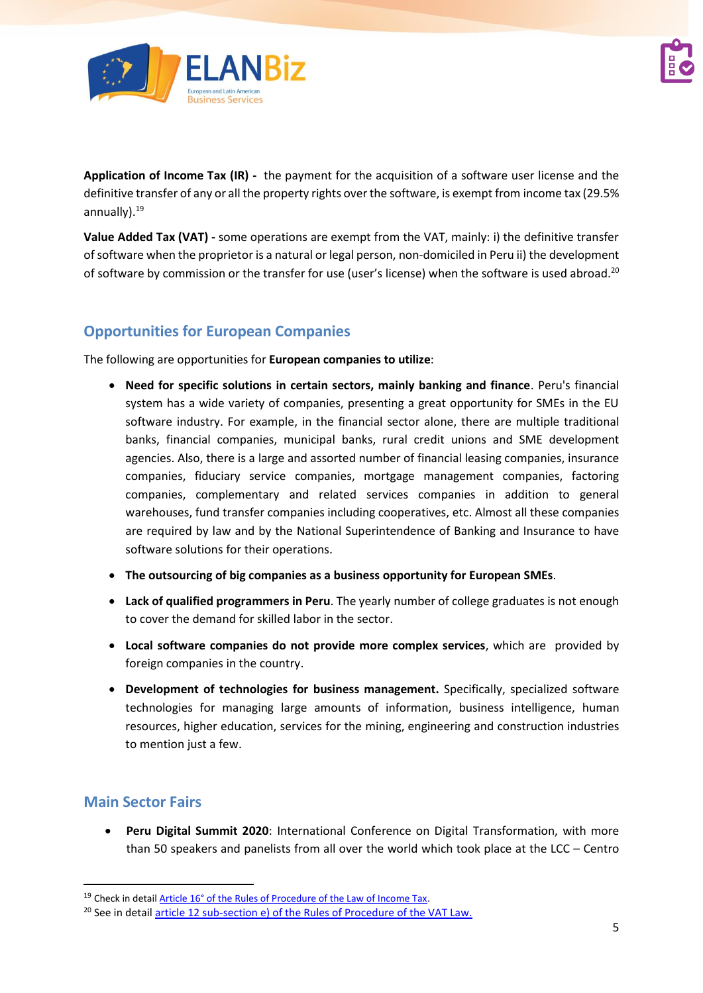

**Application of Income Tax (IR) -** the payment for the acquisition of a software user license and the definitive transfer of any or all the property rights over the software, is exempt from income tax (29.5% annually). <sup>19</sup>

**Value Added Tax (VAT) -** some operations are exempt from the VAT, mainly: i) the definitive transfer of software when the proprietor is a natural or legal person, non-domiciled in Peru ii) the development of software by commission or the transfer for use (user's license) when the software is used abroad.<sup>20</sup>

## **Opportunities for European Companies**

The following are opportunities for **European companies to utilize**:

- **Need for specific solutions in certain sectors, mainly banking and finance**. Peru's financial system has a wide variety of companies, presenting a great opportunity for SMEs in the EU software industry. For example, in the financial sector alone, there are multiple traditional banks, financial companies, municipal banks, rural credit unions and SME development agencies. Also, there is a large and assorted number of financial leasing companies, insurance companies, fiduciary service companies, mortgage management companies, factoring companies, complementary and related services companies in addition to general warehouses, fund transfer companies including cooperatives, etc. Almost all these companies are required by law and by the National Superintendence of Banking and Insurance to have software solutions for their operations.
- **The outsourcing of big companies as a business opportunity for European SMEs**.
- **Lack of qualified programmers in Peru**. The yearly number of college graduates is not enough to cover the demand for skilled labor in the sector.
- **Local software companies do not provide more complex services**, which are provided by foreign companies in the country.
- **Development of technologies for business management.** Specifically, specialized software technologies for managing large amounts of information, business intelligence, human resources, higher education, services for the mining, engineering and construction industries to mention just a few.

## **Main Sector Fairs**

• **Peru Digital Summit 2020**: International Conference on Digital Transformation, with more than 50 speakers and panelists from all over the world which took place at the LCC – Centro

<sup>&</sup>lt;sup>19</sup> Check in detail [Article 16° of the Rules of Procedure of the Law of Income Tax.](http://www.sunat.gob.pe/legislacion/renta/regla/cap5.pdf)

<sup>&</sup>lt;sup>20</sup> See in detai[l article 12 sub-section e\) of the Rules of Procedure of the VAT Law.](http://www.sunat.gob.pe/legislacion/igv/regla/cap2.htm)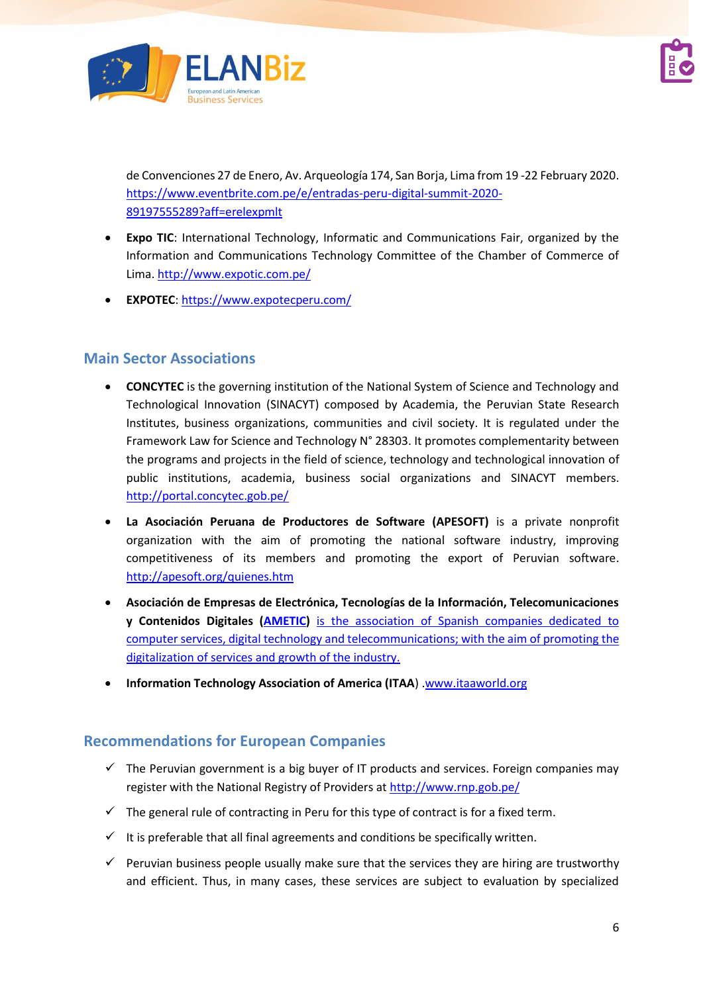

de Convenciones 27 de Enero, Av. Arqueología 174, San Borja, Lima from 19 -22 February 2020. [https://www.eventbrite.com.pe/e/entradas-peru-digital-summit-2020-](https://www.eventbrite.com.pe/e/entradas-peru-digital-summit-2020-89197555289?aff=erelexpmlt) [89197555289?aff=erelexpmlt](https://www.eventbrite.com.pe/e/entradas-peru-digital-summit-2020-89197555289?aff=erelexpmlt)

- **Expo TIC**: International Technology, Informatic and Communications Fair, organized by the Information and Communications Technology Committee of the Chamber of Commerce of Lima[. http://www.expotic.com.pe/](http://www.expotic.com.pe/)
- **EXPOTEC**[: https://www.expotecperu.com/](https://www.expotecperu.com/)

## **Main Sector Associations**

- **CONCYTEC** is the governing institution of the National System of Science and Technology and Technological Innovation (SINACYT) composed by Academia, the Peruvian State Research Institutes, business organizations, communities and civil society. It is regulated under the Framework Law for Science and Technology N° 28303. It promotes complementarity between the programs and projects in the field of science, technology and technological innovation of public institutions, academia, business social organizations and SINACYT members. <http://portal.concytec.gob.pe/>
- **La Asociación Peruana de Productores de Software (APESOFT)** is a private nonprofit organization with the aim of promoting the national software industry, improving competitiveness of its members and promoting the export of Peruvian software. <http://apesoft.org/quienes.htm>
- **Asociación de Empresas de Electrónica, Tecnologías de la Información, Telecomunicaciones y Contenidos Digitales [\(AMETIC\)](http://www.ametic.es/)** [is](http://www.ametic.es/) the association of Spanish companies dedicated to computer services, digital technology and telecommunications; with the aim of promoting the digitalization of services and growth of the industry.
- **Information Technology Association of America (ITAA**) [.www.itaaworld.org](http://www.itaaworld.org/)

## **Recommendations for European Companies**

- ✓ The Peruvian government is a big buyer of IT products and services. Foreign companies may register with the National Registry of Providers at <http://www.rnp.gob.pe/>
- $\checkmark$  The general rule of contracting in Peru for this type of contract is for a fixed term.
- $\checkmark$  It is preferable that all final agreements and conditions be specifically written.
- $\checkmark$  Peruvian business people usually make sure that the services they are hiring are trustworthy and efficient. Thus, in many cases, these services are subject to evaluation by specialized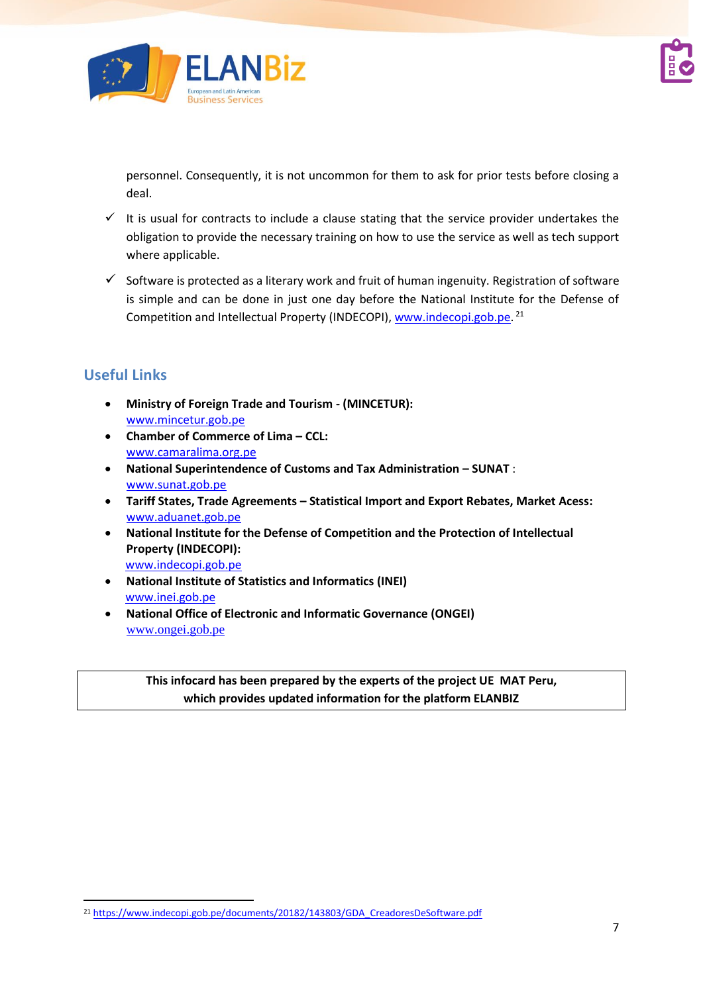

personnel. Consequently, it is not uncommon for them to ask for prior tests before closing a deal.

- $\checkmark$  It is usual for contracts to include a clause stating that the service provider undertakes the obligation to provide the necessary training on how to use the service as well as tech support where applicable.
- $\checkmark$  Software is protected as a literary work and fruit of human ingenuity. Registration of software is simple and can be done in just one day before the National Institute for the Defense of Competition and Intellectual Property (INDECOPI), [www.indecopi.gob.pe.](http://www.indecopi.gob.pe/)<sup>21</sup>

# **Useful Links**

- **Ministry of Foreign Trade and Tourism ‐ (MINCETUR):** [www.mincetur.gob.pe](http://www.mincetur.gob.pe/)
- **Chamber of Commerce of Lima – CCL:** [www.camaralima.org.pe](http://www.camaralima.org.pe/)
- **National Superintendence of Customs and Tax Administration – SUNAT** : [www.sunat.gob.pe](http://www.sunat.gob.pe/)
- **Tariff States, Trade Agreements – Statistical Import and Export Rebates, Market Acess:** [www.aduanet.gob.pe](http://www.aduanet.gob.pe/)
- **National Institute for the Defense of Competition and the Protection of Intellectual Property (INDECOPI):** [www.indecopi.gob.pe](http://www.indecopi.gob.pe/)
- **National Institute of Statistics and Informatics (INEI)**  [www.inei.gob.pe](http://www.inei.gob.pe/)
- **National Office of Electronic and Informatic Governance (ONGEI)** [www.ongei.gob.pe](http://www.ongei.gob.pe/)

**This infocard has been prepared by the experts of the project UE MAT Peru, which provides updated information for the platform ELANBIZ**

<sup>21</sup> [https://www.indecopi.gob.pe/documents/20182/143803/GDA\\_CreadoresDeSoftware.pdf](https://www.indecopi.gob.pe/documents/20182/143803/GDA_CreadoresDeSoftware.pdf)